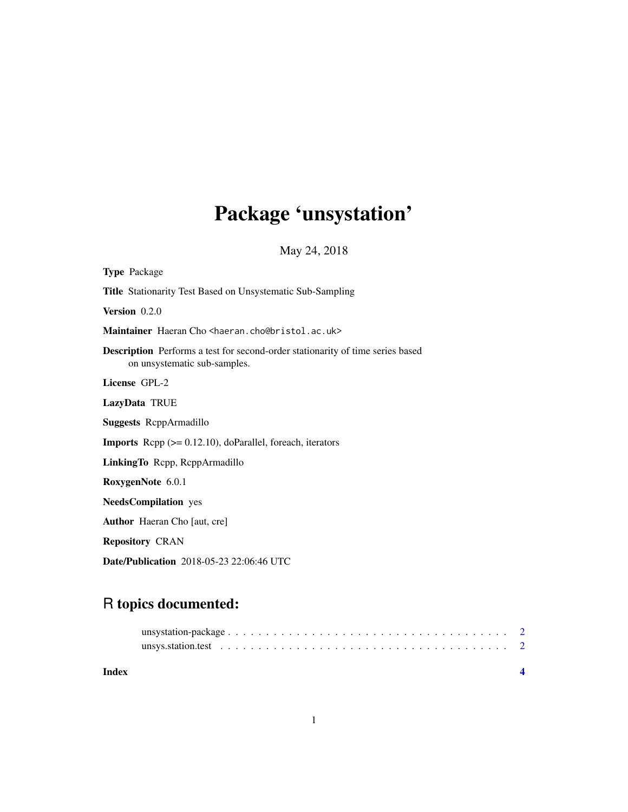# Package 'unsystation'

May 24, 2018

<span id="page-0-0"></span>

| <b>Type Package</b>                                                                                                   |
|-----------------------------------------------------------------------------------------------------------------------|
| <b>Title</b> Stationarity Test Based on Unsystematic Sub-Sampling                                                     |
| Version 0.2.0                                                                                                         |
| Maintainer Haeran Cho <haeran.cho@bristol.ac.uk></haeran.cho@bristol.ac.uk>                                           |
| <b>Description</b> Performs a test for second-order stationarity of time series based<br>on unsystematic sub-samples. |
| License GPL-2                                                                                                         |
| LazyData TRUE                                                                                                         |
| <b>Suggests</b> ReppArmadillo                                                                                         |
| <b>Imports</b> Repp $(>= 0.12.10)$ , doParallel, foreach, iterators                                                   |
| LinkingTo Repp, ReppArmadillo                                                                                         |
| RoxygenNote 6.0.1                                                                                                     |
| <b>NeedsCompilation</b> yes                                                                                           |
| <b>Author</b> Haeran Cho [aut, cre]                                                                                   |
| <b>Repository CRAN</b>                                                                                                |
| <b>Date/Publication</b> 2018-05-23 22:06:46 UTC                                                                       |

# R topics documented:

| Index |  |
|-------|--|
|       |  |
|       |  |
|       |  |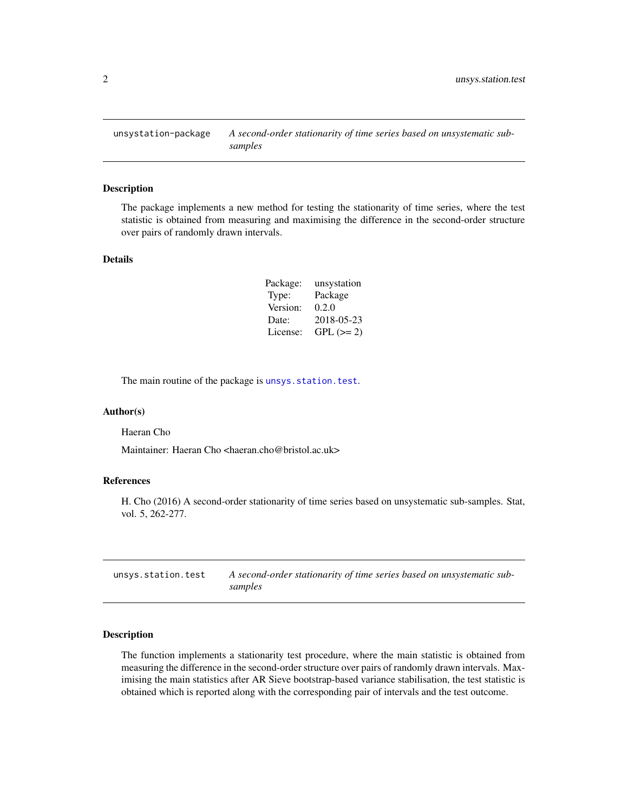<span id="page-1-0"></span>unsystation-package *A second-order stationarity of time series based on unsystematic subsamples*

#### Description

The package implements a new method for testing the stationarity of time series, where the test statistic is obtained from measuring and maximising the difference in the second-order structure over pairs of randomly drawn intervals.

#### Details

| Package: | unsystation |
|----------|-------------|
| Type:    | Package     |
| Version: | 0.2.0       |
| Date:    | 2018-05-23  |
| License: | $GPL (=2)$  |

The main routine of the package is [unsys.station.test](#page-1-1).

#### Author(s)

Haeran Cho

Maintainer: Haeran Cho <haeran.cho@bristol.ac.uk>

#### References

H. Cho (2016) A second-order stationarity of time series based on unsystematic sub-samples. Stat, vol. 5, 262-277.

<span id="page-1-1"></span>

| unsys.station.test | A second-order stationarity of time series based on unsystematic sub- |
|--------------------|-----------------------------------------------------------------------|
|                    | samples                                                               |

#### Description

The function implements a stationarity test procedure, where the main statistic is obtained from measuring the difference in the second-order structure over pairs of randomly drawn intervals. Maximising the main statistics after AR Sieve bootstrap-based variance stabilisation, the test statistic is obtained which is reported along with the corresponding pair of intervals and the test outcome.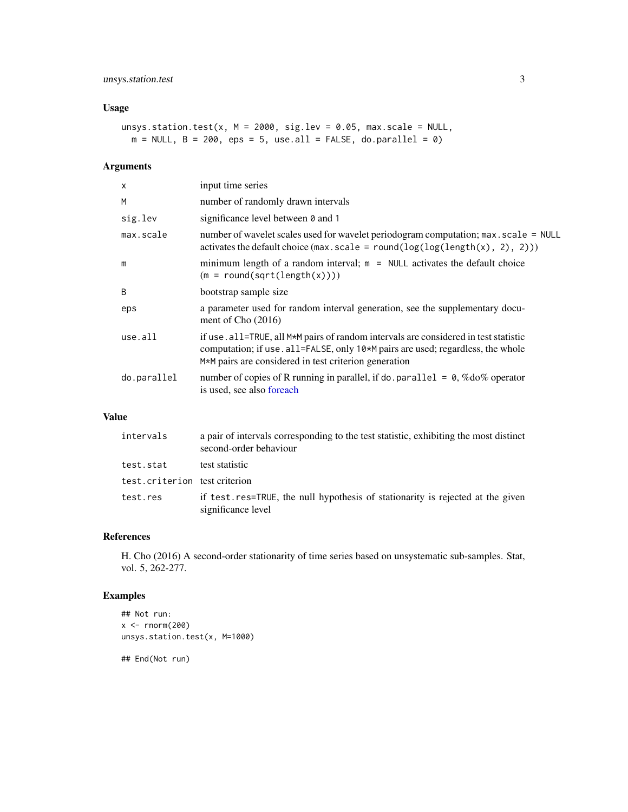### <span id="page-2-0"></span>unsys.station.test 3

# Usage

```
unsys.station.test(x, M = 2000, sig.lev = 0.05, max.scale = NULL,
 m = NULL, B = 200, eps = 5, use.all = FALSE, do.parallel = 0)
```
### Arguments

| $\times$    | input time series                                                                                                                                                                                                                                            |
|-------------|--------------------------------------------------------------------------------------------------------------------------------------------------------------------------------------------------------------------------------------------------------------|
| M           | number of randomly drawn intervals                                                                                                                                                                                                                           |
| sig.lev     | significance level between 0 and 1                                                                                                                                                                                                                           |
| max.scale   | number of wavelet scales used for wavelet periodogram computation; max. scale = NULL<br>activates the default choice (max.scale = round( $log(log(length(x), 2), 2))$ )                                                                                      |
| m           | minimum length of a random interval; $m = NULL$ activates the default choice<br>$(m = round(sqrt(length(x))))$                                                                                                                                               |
| B           | bootstrap sample size                                                                                                                                                                                                                                        |
| eps         | a parameter used for random interval generation, see the supplementary docu-<br>ment of Cho $(2016)$                                                                                                                                                         |
| use.all     | if use . all=TRUE, all M <sup>*</sup> M pairs of random intervals are considered in test statistic<br>computation; if use . all=FALSE, only 10 <sup>*</sup> M pairs are used; regardless, the whole<br>M*M pairs are considered in test criterion generation |
| do.parallel | number of copies of R running in parallel, if do parallel = $\theta$ , %do% operator<br>is used, see also foreach                                                                                                                                            |

# Value

| intervals                     | a pair of intervals corresponding to the test statistic, exhibiting the most distinct<br>second-order behaviour |
|-------------------------------|-----------------------------------------------------------------------------------------------------------------|
| test.stat                     | test statistic                                                                                                  |
| test.criterion test criterion |                                                                                                                 |
| test.res                      | if test.res=TRUE, the null hypothesis of stationarity is rejected at the given<br>significance level            |

#### References

H. Cho (2016) A second-order stationarity of time series based on unsystematic sub-samples. Stat, vol. 5, 262-277.

## Examples

```
## Not run:
x < - rnorm(200)unsys.station.test(x, M=1000)
```
## End(Not run)